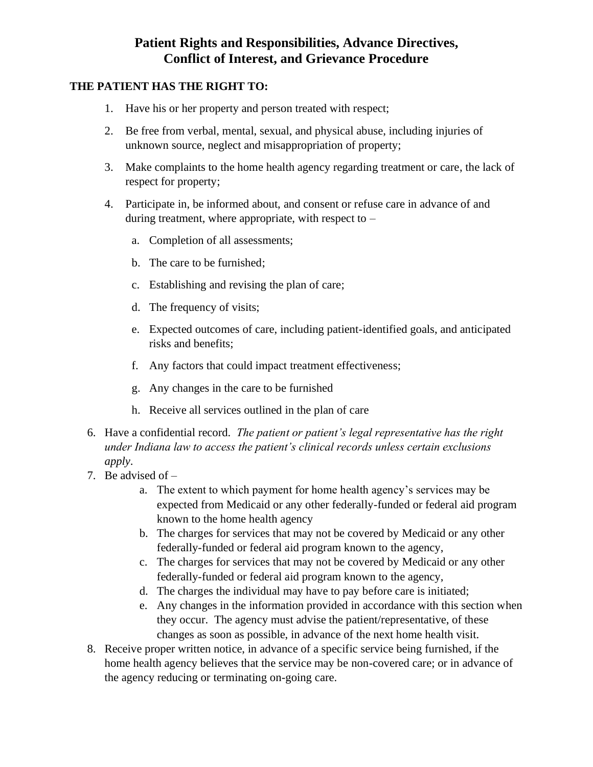#### **THE PATIENT HAS THE RIGHT TO:**

- 1. Have his or her property and person treated with respect;
- 2. Be free from verbal, mental, sexual, and physical abuse, including injuries of unknown source, neglect and misappropriation of property;
- 3. Make complaints to the home health agency regarding treatment or care, the lack of respect for property;
- 4. Participate in, be informed about, and consent or refuse care in advance of and during treatment, where appropriate, with respect to  $$ 
	- a. Completion of all assessments;
	- b. The care to be furnished;
	- c. Establishing and revising the plan of care;
	- d. The frequency of visits;
	- e. Expected outcomes of care, including patient-identified goals, and anticipated risks and benefits;
	- f. Any factors that could impact treatment effectiveness;
	- g. Any changes in the care to be furnished
	- h. Receive all services outlined in the plan of care
- 6. Have a confidential record. *The patient or patient's legal representative has the right under Indiana law to access the patient's clinical records unless certain exclusions apply*.
- 7. Be advised of
	- a. The extent to which payment for home health agency's services may be expected from Medicaid or any other federally-funded or federal aid program known to the home health agency
	- b. The charges for services that may not be covered by Medicaid or any other federally-funded or federal aid program known to the agency,
	- c. The charges for services that may not be covered by Medicaid or any other federally-funded or federal aid program known to the agency,
	- d. The charges the individual may have to pay before care is initiated;
	- e. Any changes in the information provided in accordance with this section when they occur. The agency must advise the patient/representative, of these changes as soon as possible, in advance of the next home health visit.
- 8. Receive proper written notice, in advance of a specific service being furnished, if the home health agency believes that the service may be non-covered care; or in advance of the agency reducing or terminating on-going care.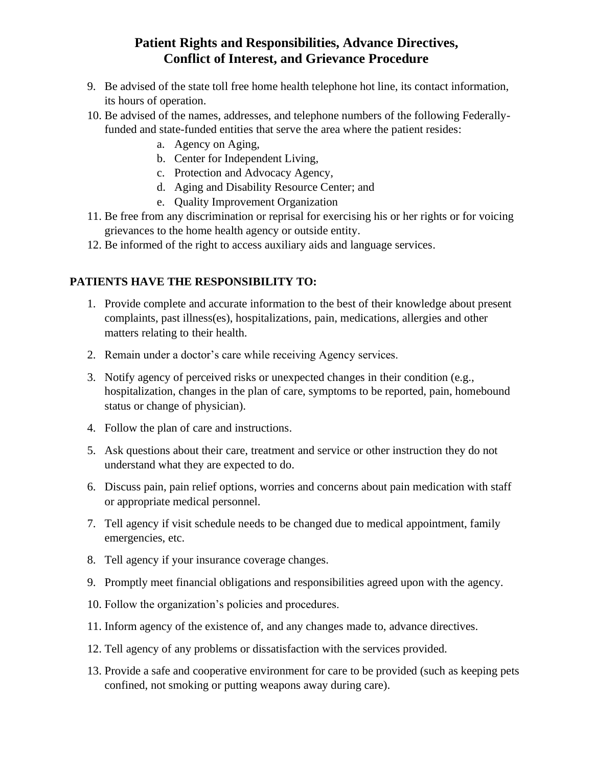- 9. Be advised of the state toll free home health telephone hot line, its contact information, its hours of operation.
- 10. Be advised of the names, addresses, and telephone numbers of the following Federallyfunded and state-funded entities that serve the area where the patient resides:
	- a. Agency on Aging,
	- b. Center for Independent Living,
	- c. Protection and Advocacy Agency,
	- d. Aging and Disability Resource Center; and
	- e. Quality Improvement Organization
- 11. Be free from any discrimination or reprisal for exercising his or her rights or for voicing grievances to the home health agency or outside entity.
- 12. Be informed of the right to access auxiliary aids and language services.

## **PATIENTS HAVE THE RESPONSIBILITY TO:**

- 1. Provide complete and accurate information to the best of their knowledge about present complaints, past illness(es), hospitalizations, pain, medications, allergies and other matters relating to their health.
- 2. Remain under a doctor's care while receiving Agency services.
- 3. Notify agency of perceived risks or unexpected changes in their condition (e.g., hospitalization, changes in the plan of care, symptoms to be reported, pain, homebound status or change of physician).
- 4. Follow the plan of care and instructions.
- 5. Ask questions about their care, treatment and service or other instruction they do not understand what they are expected to do.
- 6. Discuss pain, pain relief options, worries and concerns about pain medication with staff or appropriate medical personnel.
- 7. Tell agency if visit schedule needs to be changed due to medical appointment, family emergencies, etc.
- 8. Tell agency if your insurance coverage changes.
- 9. Promptly meet financial obligations and responsibilities agreed upon with the agency.
- 10. Follow the organization's policies and procedures.
- 11. Inform agency of the existence of, and any changes made to, advance directives.
- 12. Tell agency of any problems or dissatisfaction with the services provided.
- 13. Provide a safe and cooperative environment for care to be provided (such as keeping pets confined, not smoking or putting weapons away during care).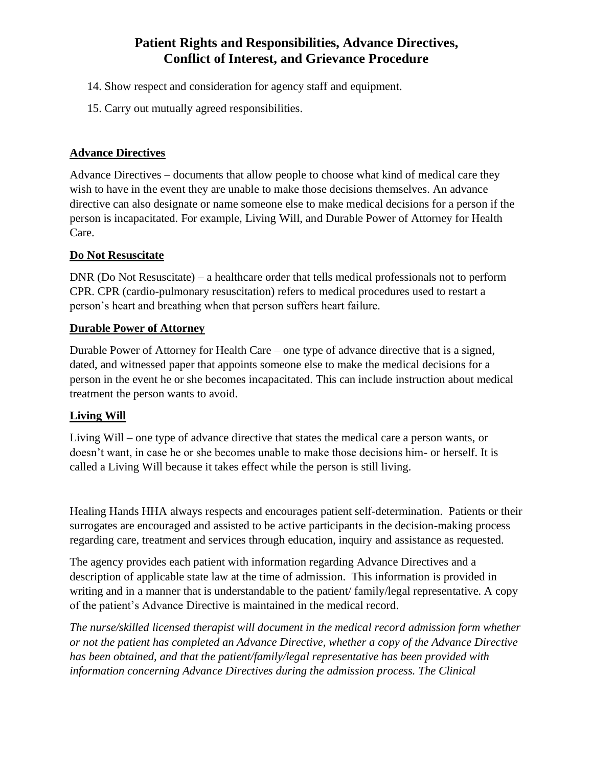- 14. Show respect and consideration for agency staff and equipment.
- 15. Carry out mutually agreed responsibilities.

#### **Advance Directives**

Advance Directives – documents that allow people to choose what kind of medical care they wish to have in the event they are unable to make those decisions themselves. An advance directive can also designate or name someone else to make medical decisions for a person if the person is incapacitated. For example, Living Will, and Durable Power of Attorney for Health Care.

#### **Do Not Resuscitate**

DNR (Do Not Resuscitate) – a healthcare order that tells medical professionals not to perform CPR. CPR (cardio-pulmonary resuscitation) refers to medical procedures used to restart a person's heart and breathing when that person suffers heart failure.

#### **Durable Power of Attorney**

Durable Power of Attorney for Health Care – one type of advance directive that is a signed, dated, and witnessed paper that appoints someone else to make the medical decisions for a person in the event he or she becomes incapacitated. This can include instruction about medical treatment the person wants to avoid.

## **Living Will**

Living Will – one type of advance directive that states the medical care a person wants, or doesn't want, in case he or she becomes unable to make those decisions him- or herself. It is called a Living Will because it takes effect while the person is still living.

Healing Hands HHA always respects and encourages patient self-determination. Patients or their surrogates are encouraged and assisted to be active participants in the decision-making process regarding care, treatment and services through education, inquiry and assistance as requested.

The agency provides each patient with information regarding Advance Directives and a description of applicable state law at the time of admission. This information is provided in writing and in a manner that is understandable to the patient/ family/legal representative. A copy of the patient's Advance Directive is maintained in the medical record.

*The nurse/skilled licensed therapist will document in the medical record admission form whether or not the patient has completed an Advance Directive, whether a copy of the Advance Directive has been obtained, and that the patient/family/legal representative has been provided with information concerning Advance Directives during the admission process. The Clinical*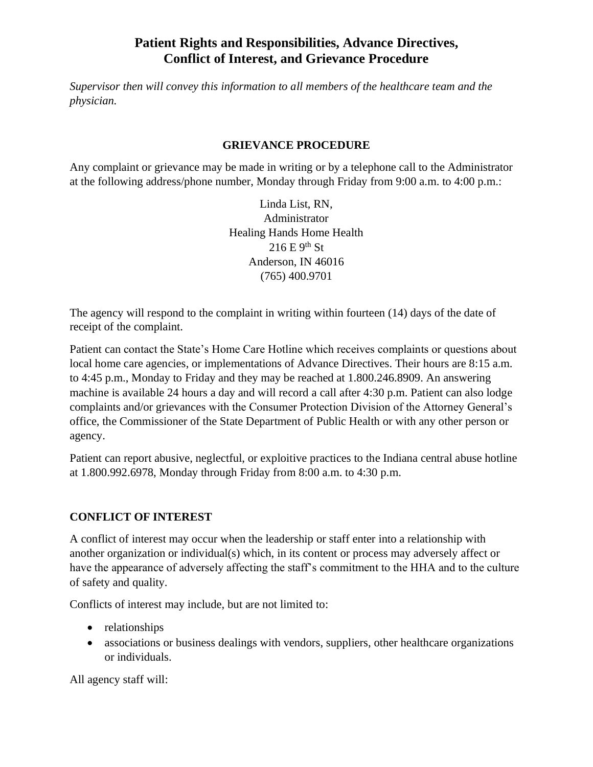*Supervisor then will convey this information to all members of the healthcare team and the physician.*

#### **GRIEVANCE PROCEDURE**

Any complaint or grievance may be made in writing or by a telephone call to the Administrator at the following address/phone number, Monday through Friday from 9:00 a.m. to 4:00 p.m.:

> Linda List, RN, Administrator Healing Hands Home Health  $216 E 9<sup>th</sup> St$ Anderson, IN 46016 (765) 400.9701

The agency will respond to the complaint in writing within fourteen (14) days of the date of receipt of the complaint.

Patient can contact the State's Home Care Hotline which receives complaints or questions about local home care agencies, or implementations of Advance Directives. Their hours are 8:15 a.m. to 4:45 p.m., Monday to Friday and they may be reached at 1.800.246.8909. An answering machine is available 24 hours a day and will record a call after 4:30 p.m. Patient can also lodge complaints and/or grievances with the Consumer Protection Division of the Attorney General's office, the Commissioner of the State Department of Public Health or with any other person or agency.

Patient can report abusive, neglectful, or exploitive practices to the Indiana central abuse hotline at 1.800.992.6978, Monday through Friday from 8:00 a.m. to 4:30 p.m.

## **CONFLICT OF INTEREST**

A conflict of interest may occur when the leadership or staff enter into a relationship with another organization or individual(s) which, in its content or process may adversely affect or have the appearance of adversely affecting the staff's commitment to the HHA and to the culture of safety and quality.

Conflicts of interest may include, but are not limited to:

- relationships
- associations or business dealings with vendors, suppliers, other healthcare organizations or individuals.

All agency staff will: